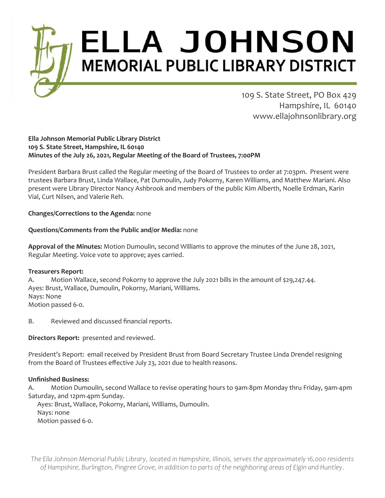# **ELLA JOHNSON MEMORIAL PUBLIC LIBRARY DISTRICT**

109 S. State Street, PO Box 429 Hampshire, IL 60140 www.ellajohnsonlibrary.org

### **Ella Johnson Memorial Public Library District 109 S. State Street, Hampshire, IL 60140 Minutes of the July 26, 2021, Regular Meeting of the Board of Trustees, 7:00PM**

President Barbara Brust called the Regular meeting of the Board of Trustees to order at 7:03pm. Present were trustees Barbara Brust, Linda Wallace, Pat Dumoulin, Judy Pokorny, Karen Williams, and Matthew Mariani. Also present were Library Director Nancy Ashbrook and members of the public Kim Alberth, Noelle Erdman, Karin Vial, Curt Nilsen, and Valerie Reh.

# **Changes/Corrections to the Agenda:** none

## **Questions/Comments from the Public and/or Media:** none

**Approval of the Minutes:** Motion Dumoulin, second Williams to approve the minutes of the June 28, 2021, Regular Meeting. Voice vote to approve; ayes carried.

## **Treasurers Report:**

A. Motion Wallace, second Pokorny to approve the July 2021 bills in the amount of \$29,247.44. Ayes: Brust, Wallace, Dumoulin, Pokorny, Mariani, Williams. Nays: None Motion passed 6-0.

B. Reviewed and discussed financial reports.

**Directors Report:** presented and reviewed.

President's Report: email received by President Brust from Board Secretary Trustee Linda Drendel resigning from the Board of Trustees effective July 23, 2021 due to health reasons.

# **Unfinished Business:**

A. Motion Dumoulin, second Wallace to revise operating hours to 9am-8pm Monday thru Friday, 9am-4pm Saturday, and 12pm-4pm Sunday.

 Ayes: Brust, Wallace, Pokorny, Mariani, Williams, Dumoulin. Nays: none Motion passed 6-0.

*The Ella Johnson Memorial Public Library, located in Hampshire, Illinois, serves the approximately 16,000 residents of Hampshire, Burlington, Pingree Grove, in addition to parts of the neighboring areas of Elgin and Huntley.*